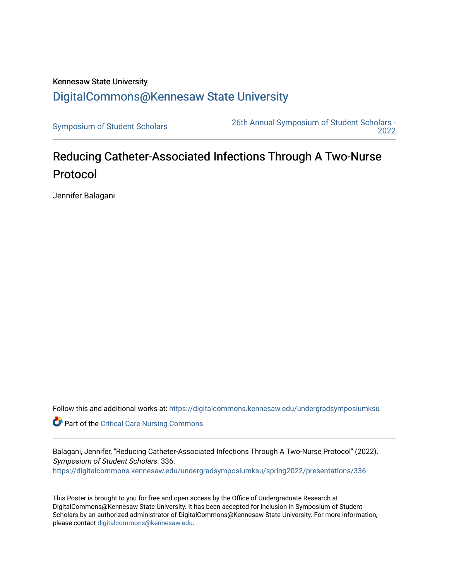## Kennesaw State University [DigitalCommons@Kennesaw State University](https://digitalcommons.kennesaw.edu/)

[Symposium of Student Scholars](https://digitalcommons.kennesaw.edu/undergradsymposiumksu) [26th Annual Symposium of Student Scholars -](https://digitalcommons.kennesaw.edu/undergradsymposiumksu/spring2022)  [2022](https://digitalcommons.kennesaw.edu/undergradsymposiumksu/spring2022) 

## Reducing Catheter-Associated Infections Through A Two-Nurse Protocol

Jennifer Balagani

Follow this and additional works at: [https://digitalcommons.kennesaw.edu/undergradsymposiumksu](https://digitalcommons.kennesaw.edu/undergradsymposiumksu?utm_source=digitalcommons.kennesaw.edu%2Fundergradsymposiumksu%2Fspring2022%2Fpresentations%2F336&utm_medium=PDF&utm_campaign=PDFCoverPages) 

Part of the [Critical Care Nursing Commons](http://network.bepress.com/hgg/discipline/727?utm_source=digitalcommons.kennesaw.edu%2Fundergradsymposiumksu%2Fspring2022%2Fpresentations%2F336&utm_medium=PDF&utm_campaign=PDFCoverPages)

Balagani, Jennifer, "Reducing Catheter-Associated Infections Through A Two-Nurse Protocol" (2022). Symposium of Student Scholars. 336. [https://digitalcommons.kennesaw.edu/undergradsymposiumksu/spring2022/presentations/336](https://digitalcommons.kennesaw.edu/undergradsymposiumksu/spring2022/presentations/336?utm_source=digitalcommons.kennesaw.edu%2Fundergradsymposiumksu%2Fspring2022%2Fpresentations%2F336&utm_medium=PDF&utm_campaign=PDFCoverPages)

This Poster is brought to you for free and open access by the Office of Undergraduate Research at DigitalCommons@Kennesaw State University. It has been accepted for inclusion in Symposium of Student Scholars by an authorized administrator of DigitalCommons@Kennesaw State University. For more information, please contact [digitalcommons@kennesaw.edu.](mailto:digitalcommons@kennesaw.edu)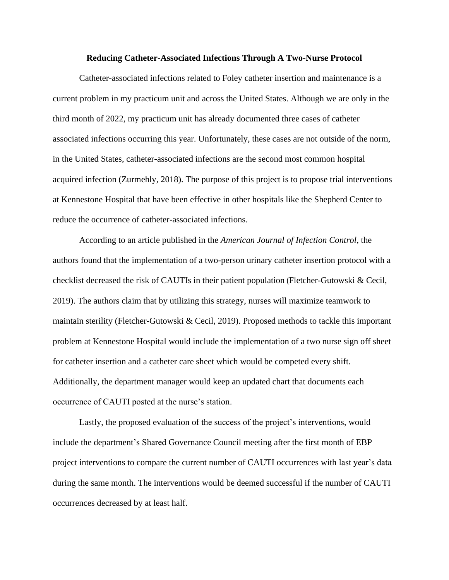## **Reducing Catheter-Associated Infections Through A Two-Nurse Protocol**

Catheter-associated infections related to Foley catheter insertion and maintenance is a current problem in my practicum unit and across the United States. Although we are only in the third month of 2022, my practicum unit has already documented three cases of catheter associated infections occurring this year. Unfortunately, these cases are not outside of the norm, in the United States, catheter-associated infections are the second most common hospital acquired infection (Zurmehly, 2018). The purpose of this project is to propose trial interventions at Kennestone Hospital that have been effective in other hospitals like the Shepherd Center to reduce the occurrence of catheter-associated infections.

According to an article published in the *American Journal of Infection Control*, the authors found that the implementation of a two-person urinary catheter insertion protocol with a checklist decreased the risk of CAUTIs in their patient population (Fletcher-Gutowski & Cecil, 2019). The authors claim that by utilizing this strategy, nurses will maximize teamwork to maintain sterility (Fletcher-Gutowski & Cecil, 2019). Proposed methods to tackle this important problem at Kennestone Hospital would include the implementation of a two nurse sign off sheet for catheter insertion and a catheter care sheet which would be competed every shift. Additionally, the department manager would keep an updated chart that documents each occurrence of CAUTI posted at the nurse's station.

Lastly, the proposed evaluation of the success of the project's interventions, would include the department's Shared Governance Council meeting after the first month of EBP project interventions to compare the current number of CAUTI occurrences with last year's data during the same month. The interventions would be deemed successful if the number of CAUTI occurrences decreased by at least half.